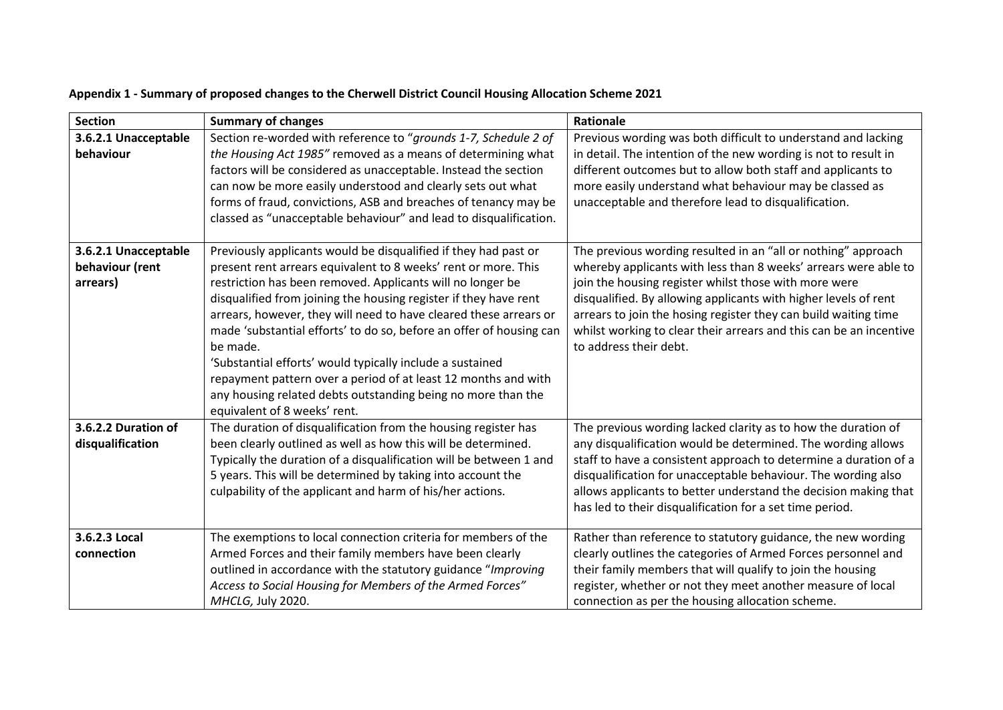| <b>Section</b>                                      | <b>Summary of changes</b>                                                                                                                                                                                                                                                                                                                                                                                                                                                                                                                                                                                                                                  | Rationale                                                                                                                                                                                                                                                                                                                                                                                                                       |
|-----------------------------------------------------|------------------------------------------------------------------------------------------------------------------------------------------------------------------------------------------------------------------------------------------------------------------------------------------------------------------------------------------------------------------------------------------------------------------------------------------------------------------------------------------------------------------------------------------------------------------------------------------------------------------------------------------------------------|---------------------------------------------------------------------------------------------------------------------------------------------------------------------------------------------------------------------------------------------------------------------------------------------------------------------------------------------------------------------------------------------------------------------------------|
| 3.6.2.1 Unacceptable<br>behaviour                   | Section re-worded with reference to "grounds 1-7, Schedule 2 of<br>the Housing Act 1985" removed as a means of determining what<br>factors will be considered as unacceptable. Instead the section<br>can now be more easily understood and clearly sets out what<br>forms of fraud, convictions, ASB and breaches of tenancy may be<br>classed as "unacceptable behaviour" and lead to disqualification.                                                                                                                                                                                                                                                  | Previous wording was both difficult to understand and lacking<br>in detail. The intention of the new wording is not to result in<br>different outcomes but to allow both staff and applicants to<br>more easily understand what behaviour may be classed as<br>unacceptable and therefore lead to disqualification.                                                                                                             |
| 3.6.2.1 Unacceptable<br>behaviour (rent<br>arrears) | Previously applicants would be disqualified if they had past or<br>present rent arrears equivalent to 8 weeks' rent or more. This<br>restriction has been removed. Applicants will no longer be<br>disqualified from joining the housing register if they have rent<br>arrears, however, they will need to have cleared these arrears or<br>made 'substantial efforts' to do so, before an offer of housing can<br>be made.<br>'Substantial efforts' would typically include a sustained<br>repayment pattern over a period of at least 12 months and with<br>any housing related debts outstanding being no more than the<br>equivalent of 8 weeks' rent. | The previous wording resulted in an "all or nothing" approach<br>whereby applicants with less than 8 weeks' arrears were able to<br>join the housing register whilst those with more were<br>disqualified. By allowing applicants with higher levels of rent<br>arrears to join the hosing register they can build waiting time<br>whilst working to clear their arrears and this can be an incentive<br>to address their debt. |
| 3.6.2.2 Duration of<br>disqualification             | The duration of disqualification from the housing register has<br>been clearly outlined as well as how this will be determined.<br>Typically the duration of a disqualification will be between 1 and<br>5 years. This will be determined by taking into account the<br>culpability of the applicant and harm of his/her actions.                                                                                                                                                                                                                                                                                                                          | The previous wording lacked clarity as to how the duration of<br>any disqualification would be determined. The wording allows<br>staff to have a consistent approach to determine a duration of a<br>disqualification for unacceptable behaviour. The wording also<br>allows applicants to better understand the decision making that<br>has led to their disqualification for a set time period.                               |
| 3.6.2.3 Local<br>connection                         | The exemptions to local connection criteria for members of the<br>Armed Forces and their family members have been clearly<br>outlined in accordance with the statutory guidance "Improving<br>Access to Social Housing for Members of the Armed Forces"<br>MHCLG, July 2020.                                                                                                                                                                                                                                                                                                                                                                               | Rather than reference to statutory guidance, the new wording<br>clearly outlines the categories of Armed Forces personnel and<br>their family members that will qualify to join the housing<br>register, whether or not they meet another measure of local<br>connection as per the housing allocation scheme.                                                                                                                  |

## **Appendix 1 - Summary of proposed changes to the Cherwell District Council Housing Allocation Scheme 2021**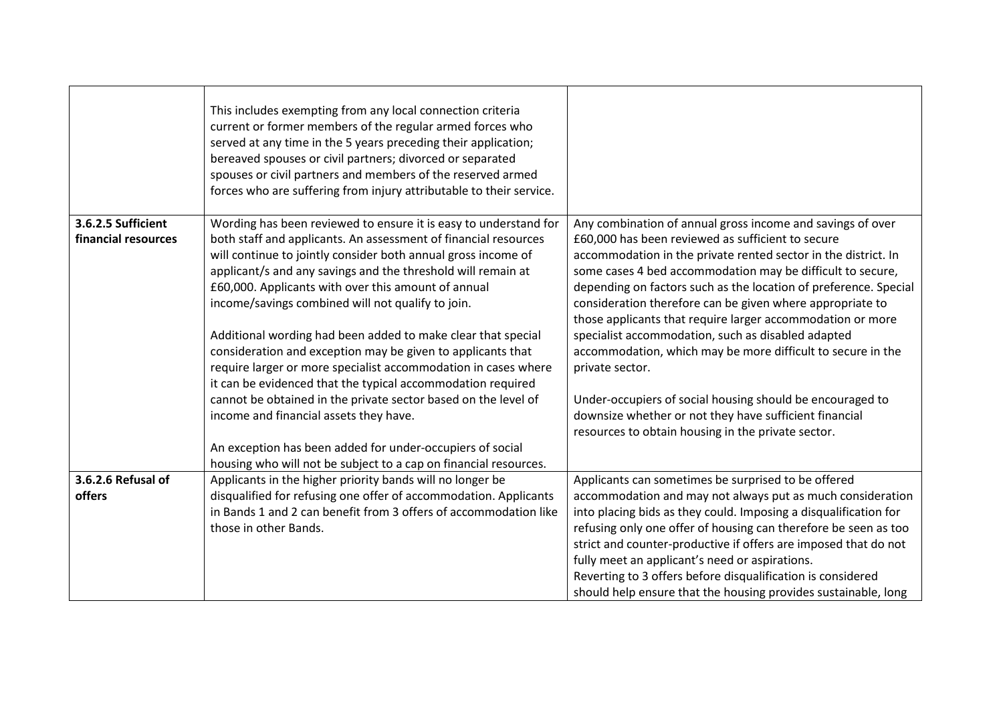|                                           | This includes exempting from any local connection criteria<br>current or former members of the regular armed forces who<br>served at any time in the 5 years preceding their application;<br>bereaved spouses or civil partners; divorced or separated<br>spouses or civil partners and members of the reserved armed<br>forces who are suffering from injury attributable to their service. |                                                                                                                                     |
|-------------------------------------------|----------------------------------------------------------------------------------------------------------------------------------------------------------------------------------------------------------------------------------------------------------------------------------------------------------------------------------------------------------------------------------------------|-------------------------------------------------------------------------------------------------------------------------------------|
|                                           |                                                                                                                                                                                                                                                                                                                                                                                              |                                                                                                                                     |
| 3.6.2.5 Sufficient<br>financial resources | Wording has been reviewed to ensure it is easy to understand for<br>both staff and applicants. An assessment of financial resources                                                                                                                                                                                                                                                          | Any combination of annual gross income and savings of over<br>£60,000 has been reviewed as sufficient to secure                     |
|                                           | will continue to jointly consider both annual gross income of                                                                                                                                                                                                                                                                                                                                | accommodation in the private rented sector in the district. In                                                                      |
|                                           | applicant/s and any savings and the threshold will remain at                                                                                                                                                                                                                                                                                                                                 | some cases 4 bed accommodation may be difficult to secure,                                                                          |
|                                           | £60,000. Applicants with over this amount of annual                                                                                                                                                                                                                                                                                                                                          | depending on factors such as the location of preference. Special                                                                    |
|                                           | income/savings combined will not qualify to join.                                                                                                                                                                                                                                                                                                                                            | consideration therefore can be given where appropriate to                                                                           |
|                                           |                                                                                                                                                                                                                                                                                                                                                                                              | those applicants that require larger accommodation or more                                                                          |
|                                           | Additional wording had been added to make clear that special                                                                                                                                                                                                                                                                                                                                 | specialist accommodation, such as disabled adapted                                                                                  |
|                                           | consideration and exception may be given to applicants that                                                                                                                                                                                                                                                                                                                                  | accommodation, which may be more difficult to secure in the                                                                         |
|                                           | require larger or more specialist accommodation in cases where                                                                                                                                                                                                                                                                                                                               | private sector.                                                                                                                     |
|                                           | it can be evidenced that the typical accommodation required                                                                                                                                                                                                                                                                                                                                  |                                                                                                                                     |
|                                           | cannot be obtained in the private sector based on the level of                                                                                                                                                                                                                                                                                                                               | Under-occupiers of social housing should be encouraged to                                                                           |
|                                           | income and financial assets they have.                                                                                                                                                                                                                                                                                                                                                       | downsize whether or not they have sufficient financial                                                                              |
|                                           |                                                                                                                                                                                                                                                                                                                                                                                              | resources to obtain housing in the private sector.                                                                                  |
|                                           | An exception has been added for under-occupiers of social                                                                                                                                                                                                                                                                                                                                    |                                                                                                                                     |
|                                           | housing who will not be subject to a cap on financial resources.                                                                                                                                                                                                                                                                                                                             |                                                                                                                                     |
| 3.6.2.6 Refusal of                        | Applicants in the higher priority bands will no longer be                                                                                                                                                                                                                                                                                                                                    | Applicants can sometimes be surprised to be offered                                                                                 |
| offers                                    | disqualified for refusing one offer of accommodation. Applicants<br>in Bands 1 and 2 can benefit from 3 offers of accommodation like                                                                                                                                                                                                                                                         | accommodation and may not always put as much consideration                                                                          |
|                                           | those in other Bands.                                                                                                                                                                                                                                                                                                                                                                        | into placing bids as they could. Imposing a disqualification for<br>refusing only one offer of housing can therefore be seen as too |
|                                           |                                                                                                                                                                                                                                                                                                                                                                                              | strict and counter-productive if offers are imposed that do not                                                                     |
|                                           |                                                                                                                                                                                                                                                                                                                                                                                              | fully meet an applicant's need or aspirations.                                                                                      |
|                                           |                                                                                                                                                                                                                                                                                                                                                                                              | Reverting to 3 offers before disqualification is considered                                                                         |
|                                           |                                                                                                                                                                                                                                                                                                                                                                                              | should help ensure that the housing provides sustainable, long                                                                      |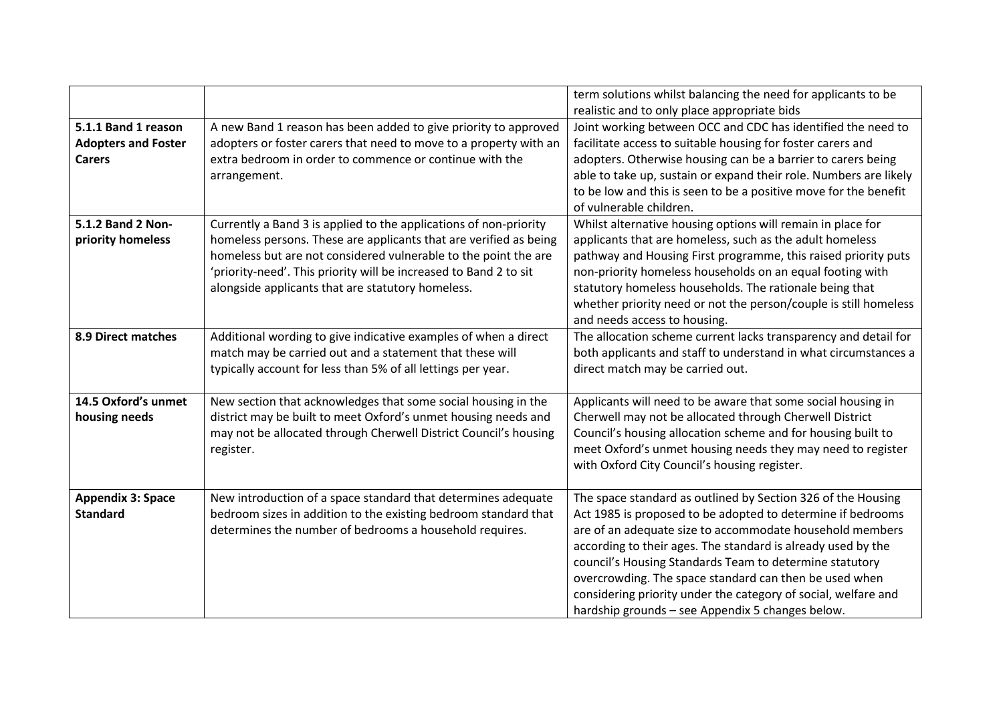|                            |                                                                   | term solutions whilst balancing the need for applicants to be     |
|----------------------------|-------------------------------------------------------------------|-------------------------------------------------------------------|
|                            |                                                                   | realistic and to only place appropriate bids                      |
| 5.1.1 Band 1 reason        | A new Band 1 reason has been added to give priority to approved   | Joint working between OCC and CDC has identified the need to      |
| <b>Adopters and Foster</b> | adopters or foster carers that need to move to a property with an | facilitate access to suitable housing for foster carers and       |
| <b>Carers</b>              | extra bedroom in order to commence or continue with the           | adopters. Otherwise housing can be a barrier to carers being      |
|                            | arrangement.                                                      | able to take up, sustain or expand their role. Numbers are likely |
|                            |                                                                   | to be low and this is seen to be a positive move for the benefit  |
|                            |                                                                   | of vulnerable children.                                           |
| 5.1.2 Band 2 Non-          | Currently a Band 3 is applied to the applications of non-priority | Whilst alternative housing options will remain in place for       |
| priority homeless          | homeless persons. These are applicants that are verified as being | applicants that are homeless, such as the adult homeless          |
|                            | homeless but are not considered vulnerable to the point the are   | pathway and Housing First programme, this raised priority puts    |
|                            | 'priority-need'. This priority will be increased to Band 2 to sit | non-priority homeless households on an equal footing with         |
|                            | alongside applicants that are statutory homeless.                 | statutory homeless households. The rationale being that           |
|                            |                                                                   | whether priority need or not the person/couple is still homeless  |
|                            |                                                                   | and needs access to housing.                                      |
| 8.9 Direct matches         | Additional wording to give indicative examples of when a direct   | The allocation scheme current lacks transparency and detail for   |
|                            | match may be carried out and a statement that these will          | both applicants and staff to understand in what circumstances a   |
|                            | typically account for less than 5% of all lettings per year.      | direct match may be carried out.                                  |
|                            |                                                                   |                                                                   |
| 14.5 Oxford's unmet        | New section that acknowledges that some social housing in the     | Applicants will need to be aware that some social housing in      |
| housing needs              | district may be built to meet Oxford's unmet housing needs and    | Cherwell may not be allocated through Cherwell District           |
|                            | may not be allocated through Cherwell District Council's housing  | Council's housing allocation scheme and for housing built to      |
|                            | register.                                                         | meet Oxford's unmet housing needs they may need to register       |
|                            |                                                                   | with Oxford City Council's housing register.                      |
|                            |                                                                   |                                                                   |
| <b>Appendix 3: Space</b>   | New introduction of a space standard that determines adequate     | The space standard as outlined by Section 326 of the Housing      |
| <b>Standard</b>            | bedroom sizes in addition to the existing bedroom standard that   | Act 1985 is proposed to be adopted to determine if bedrooms       |
|                            | determines the number of bedrooms a household requires.           | are of an adequate size to accommodate household members          |
|                            |                                                                   | according to their ages. The standard is already used by the      |
|                            |                                                                   | council's Housing Standards Team to determine statutory           |
|                            |                                                                   | overcrowding. The space standard can then be used when            |
|                            |                                                                   | considering priority under the category of social, welfare and    |
|                            |                                                                   | hardship grounds - see Appendix 5 changes below.                  |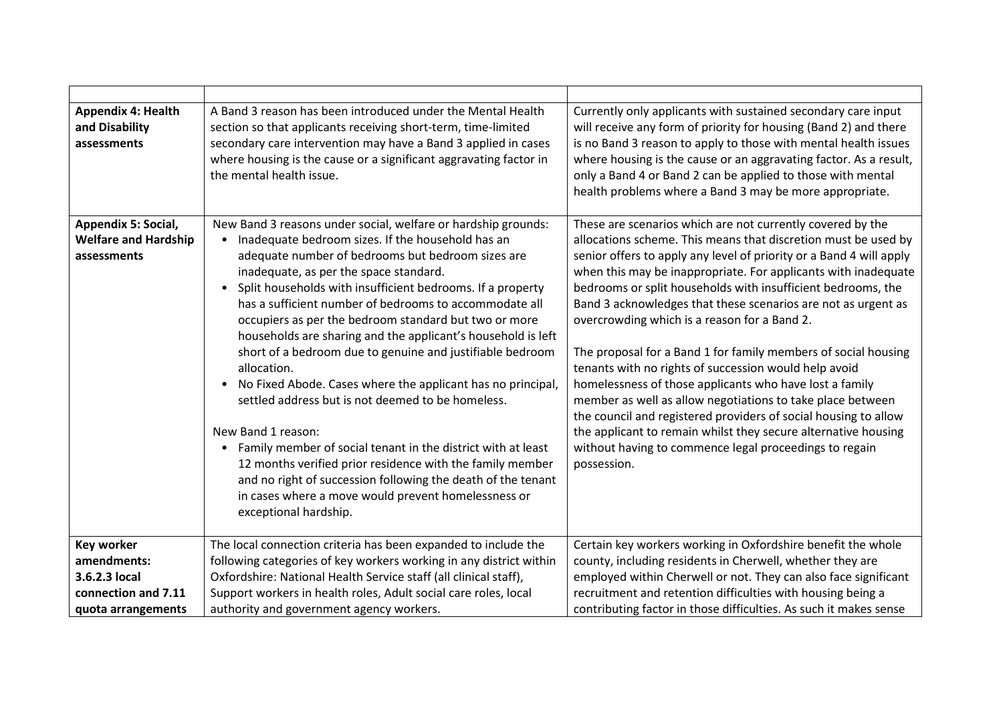| <b>Appendix 4: Health</b><br>and Disability<br>assessments        | A Band 3 reason has been introduced under the Mental Health<br>section so that applicants receiving short-term, time-limited<br>secondary care intervention may have a Band 3 applied in cases<br>where housing is the cause or a significant aggravating factor in<br>the mental health issue.                                                                                                                                                                                                                                                                                                                                                                                                                                                                                                                                                                                                                                                                                                              | Currently only applicants with sustained secondary care input<br>will receive any form of priority for housing (Band 2) and there<br>is no Band 3 reason to apply to those with mental health issues<br>where housing is the cause or an aggravating factor. As a result,<br>only a Band 4 or Band 2 can be applied to those with mental<br>health problems where a Band 3 may be more appropriate.                                                                                                                                                                                                                                                                                                                                                                                                                                                                                                                      |
|-------------------------------------------------------------------|--------------------------------------------------------------------------------------------------------------------------------------------------------------------------------------------------------------------------------------------------------------------------------------------------------------------------------------------------------------------------------------------------------------------------------------------------------------------------------------------------------------------------------------------------------------------------------------------------------------------------------------------------------------------------------------------------------------------------------------------------------------------------------------------------------------------------------------------------------------------------------------------------------------------------------------------------------------------------------------------------------------|--------------------------------------------------------------------------------------------------------------------------------------------------------------------------------------------------------------------------------------------------------------------------------------------------------------------------------------------------------------------------------------------------------------------------------------------------------------------------------------------------------------------------------------------------------------------------------------------------------------------------------------------------------------------------------------------------------------------------------------------------------------------------------------------------------------------------------------------------------------------------------------------------------------------------|
| Appendix 5: Social,<br><b>Welfare and Hardship</b><br>assessments | New Band 3 reasons under social, welfare or hardship grounds:<br>Inadequate bedroom sizes. If the household has an<br>$\bullet$<br>adequate number of bedrooms but bedroom sizes are<br>inadequate, as per the space standard.<br>Split households with insufficient bedrooms. If a property<br>$\bullet$<br>has a sufficient number of bedrooms to accommodate all<br>occupiers as per the bedroom standard but two or more<br>households are sharing and the applicant's household is left<br>short of a bedroom due to genuine and justifiable bedroom<br>allocation.<br>No Fixed Abode. Cases where the applicant has no principal,<br>$\bullet$<br>settled address but is not deemed to be homeless.<br>New Band 1 reason:<br>Family member of social tenant in the district with at least<br>12 months verified prior residence with the family member<br>and no right of succession following the death of the tenant<br>in cases where a move would prevent homelessness or<br>exceptional hardship. | These are scenarios which are not currently covered by the<br>allocations scheme. This means that discretion must be used by<br>senior offers to apply any level of priority or a Band 4 will apply<br>when this may be inappropriate. For applicants with inadequate<br>bedrooms or split households with insufficient bedrooms, the<br>Band 3 acknowledges that these scenarios are not as urgent as<br>overcrowding which is a reason for a Band 2.<br>The proposal for a Band 1 for family members of social housing<br>tenants with no rights of succession would help avoid<br>homelessness of those applicants who have lost a family<br>member as well as allow negotiations to take place between<br>the council and registered providers of social housing to allow<br>the applicant to remain whilst they secure alternative housing<br>without having to commence legal proceedings to regain<br>possession. |
| <b>Key worker</b>                                                 | The local connection criteria has been expanded to include the                                                                                                                                                                                                                                                                                                                                                                                                                                                                                                                                                                                                                                                                                                                                                                                                                                                                                                                                               | Certain key workers working in Oxfordshire benefit the whole                                                                                                                                                                                                                                                                                                                                                                                                                                                                                                                                                                                                                                                                                                                                                                                                                                                             |
| amendments:                                                       | following categories of key workers working in any district within                                                                                                                                                                                                                                                                                                                                                                                                                                                                                                                                                                                                                                                                                                                                                                                                                                                                                                                                           | county, including residents in Cherwell, whether they are                                                                                                                                                                                                                                                                                                                                                                                                                                                                                                                                                                                                                                                                                                                                                                                                                                                                |
| 3.6.2.3 local                                                     | Oxfordshire: National Health Service staff (all clinical staff),                                                                                                                                                                                                                                                                                                                                                                                                                                                                                                                                                                                                                                                                                                                                                                                                                                                                                                                                             | employed within Cherwell or not. They can also face significant                                                                                                                                                                                                                                                                                                                                                                                                                                                                                                                                                                                                                                                                                                                                                                                                                                                          |
| connection and 7.11                                               | Support workers in health roles, Adult social care roles, local                                                                                                                                                                                                                                                                                                                                                                                                                                                                                                                                                                                                                                                                                                                                                                                                                                                                                                                                              | recruitment and retention difficulties with housing being a                                                                                                                                                                                                                                                                                                                                                                                                                                                                                                                                                                                                                                                                                                                                                                                                                                                              |
| quota arrangements                                                | authority and government agency workers.                                                                                                                                                                                                                                                                                                                                                                                                                                                                                                                                                                                                                                                                                                                                                                                                                                                                                                                                                                     | contributing factor in those difficulties. As such it makes sense                                                                                                                                                                                                                                                                                                                                                                                                                                                                                                                                                                                                                                                                                                                                                                                                                                                        |